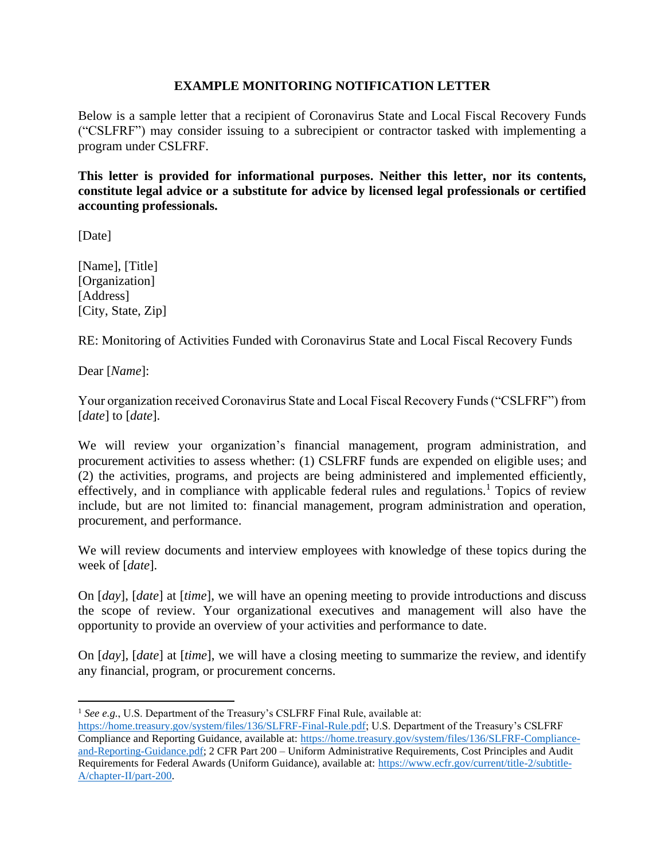## **EXAMPLE MONITORING NOTIFICATION LETTER**

Below is a sample letter that a recipient of Coronavirus State and Local Fiscal Recovery Funds ("CSLFRF") may consider issuing to a subrecipient or contractor tasked with implementing a program under CSLFRF.

**This letter is provided for informational purposes. Neither this letter, nor its contents, constitute legal advice or a substitute for advice by licensed legal professionals or certified accounting professionals.** 

[Date]

[Name], [Title] [Organization] [Address] [City, State, Zip]

RE: Monitoring of Activities Funded with Coronavirus State and Local Fiscal Recovery Funds

Dear [*Name*]:

Your organization received Coronavirus State and Local Fiscal Recovery Funds ("CSLFRF") from [*date*] to [*date*].

We will review your organization's financial management, program administration, and procurement activities to assess whether: (1) CSLFRF funds are expended on eligible uses; and (2) the activities, programs, and projects are being administered and implemented efficiently, effectively, and in compliance with applicable federal rules and regulations.<sup>1</sup> Topics of review include, but are not limited to: financial management, program administration and operation, procurement, and performance.

We will review documents and interview employees with knowledge of these topics during the week of [*date*].

On [*day*], [*date*] at [*time*], we will have an opening meeting to provide introductions and discuss the scope of review. Your organizational executives and management will also have the opportunity to provide an overview of your activities and performance to date.

On [*day*], [*date*] at [*time*], we will have a closing meeting to summarize the review, and identify any financial, program, or procurement concerns.

<sup>&</sup>lt;sup>1</sup> See e.g., U.S. Department of the Treasury's CSLFRF Final Rule, available at:

[https://home.treasury.gov/system/files/136/SLFRF-Final-Rule.pdf;](https://home.treasury.gov/system/files/136/SLFRF-Final-Rule.pdf) U.S. Department of the Treasury's CSLFRF Compliance and Reporting Guidance, available at[: https://home.treasury.gov/system/files/136/SLFRF-Compliance](https://home.treasury.gov/system/files/136/SLFRF-Compliance-and-Reporting-Guidance.pdf)[and-Reporting-Guidance.pdf;](https://home.treasury.gov/system/files/136/SLFRF-Compliance-and-Reporting-Guidance.pdf) 2 CFR Part 200 – Uniform Administrative Requirements, Cost Principles and Audit Requirements for Federal Awards (Uniform Guidance), available at: [https://www.ecfr.gov/current/title-2/subtitle-](https://www.ecfr.gov/current/title-2/subtitle-A/chapter-II/part-200)[A/chapter-II/part-200.](https://www.ecfr.gov/current/title-2/subtitle-A/chapter-II/part-200)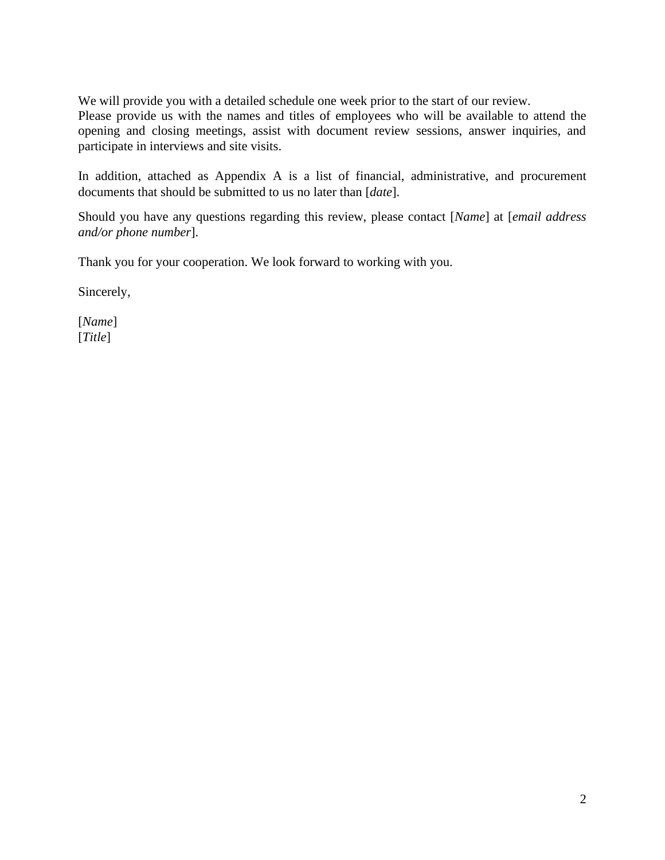We will provide you with a detailed schedule one week prior to the start of our review.

Please provide us with the names and titles of employees who will be available to attend the opening and closing meetings, assist with document review sessions, answer inquiries, and participate in interviews and site visits.

In addition, attached as Appendix A is a list of financial, administrative, and procurement documents that should be submitted to us no later than [*date*].

Should you have any questions regarding this review, please contact [*Name*] at [*email address and/or phone number*].

Thank you for your cooperation. We look forward to working with you.

Sincerely,

[*Name*] [*Title*]